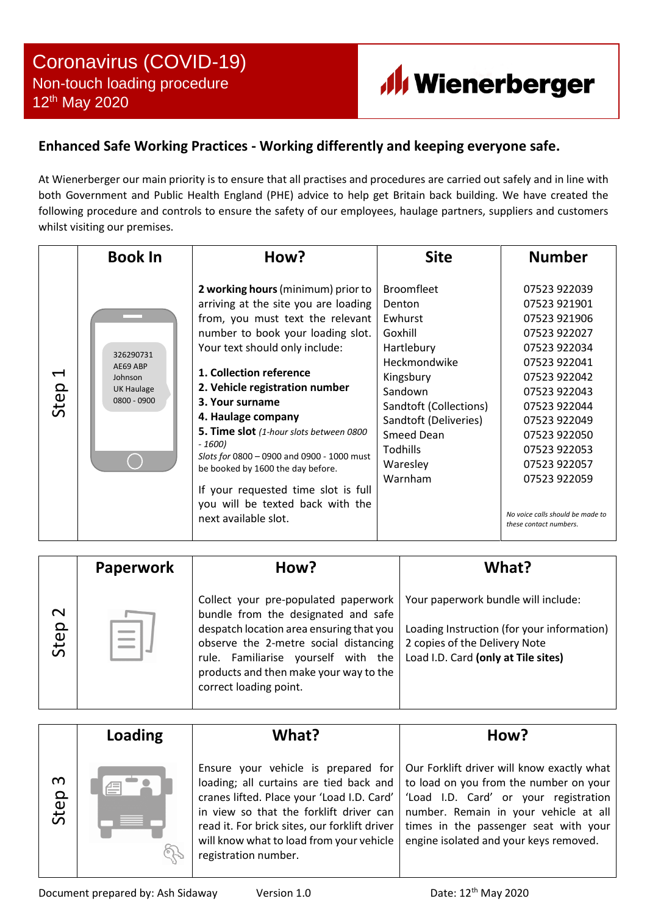

## **Enhanced Safe Working Practices - Working differently and keeping everyone safe.**

At Wienerberger our main priority is to ensure that all practises and procedures are carried out safely and in line with both Government and Public Health England (PHE) advice to help get Britain back building. We have created the following procedure and controls to ensure the safety of our employees, haulage partners, suppliers and customers whilst visiting our premises.

|                        | <b>Book In</b>                                                | How?                                                                                                                                                                                                                                                                                                                                                                                                                                                                                                                                    | <b>Site</b>                                                                                                                                                                                                        | <b>Number</b>                                                                                                                                                                                                                                                                              |
|------------------------|---------------------------------------------------------------|-----------------------------------------------------------------------------------------------------------------------------------------------------------------------------------------------------------------------------------------------------------------------------------------------------------------------------------------------------------------------------------------------------------------------------------------------------------------------------------------------------------------------------------------|--------------------------------------------------------------------------------------------------------------------------------------------------------------------------------------------------------------------|--------------------------------------------------------------------------------------------------------------------------------------------------------------------------------------------------------------------------------------------------------------------------------------------|
| $\blacksquare$<br>Step | 326290731<br>AE69 ABP<br>Johnson<br>UK Haulage<br>0800 - 0900 | 2 working hours (minimum) prior to<br>arriving at the site you are loading<br>from, you must text the relevant<br>number to book your loading slot.<br>Your text should only include:<br>1. Collection reference<br>2. Vehicle registration number<br>3. Your surname<br>4. Haulage company<br>5. Time slot (1-hour slots between 0800<br>$-1600$<br>Slots for 0800 - 0900 and 0900 - 1000 must<br>be booked by 1600 the day before.<br>If your requested time slot is full<br>you will be texted back with the<br>next available slot. | <b>Broomfleet</b><br>Denton<br>Ewhurst<br>Goxhill<br>Hartlebury<br>Heckmondwike<br>Kingsbury<br>Sandown<br>Sandtoft (Collections)<br>Sandtoft (Deliveries)<br><b>Smeed Dean</b><br>Todhills<br>Waresley<br>Warnham | 07523 922039<br>07523 921901<br>07523 921906<br>07523 922027<br>07523 922034<br>07523 922041<br>07523 922042<br>07523 922043<br>07523 922044<br>07523 922049<br>07523 922050<br>07523 922053<br>07523 922057<br>07523 922059<br>No voice calls should be made to<br>these contact numbers. |

|                | <b>Paperwork</b> | How?                                                                                                                                                                                                                                                                                                              | What?                                                                                                              |
|----------------|------------------|-------------------------------------------------------------------------------------------------------------------------------------------------------------------------------------------------------------------------------------------------------------------------------------------------------------------|--------------------------------------------------------------------------------------------------------------------|
| $\sim$<br>Step |                  | Collect your pre-populated paperwork   Your paperwork bundle will include:<br>bundle from the designated and safe<br>despatch location area ensuring that you<br>observe the 2-metre social distancing<br>rule. Familiarise yourself with the<br>products and then make your way to the<br>correct loading point. | Loading Instruction (for your information)<br>2 copies of the Delivery Note<br>Load I.D. Card (only at Tile sites) |

|           | Loading | What?                                                                                                                                                                                                                                                                                        | How?                                                                                                                                                                                                                                                      |
|-----------|---------|----------------------------------------------------------------------------------------------------------------------------------------------------------------------------------------------------------------------------------------------------------------------------------------------|-----------------------------------------------------------------------------------------------------------------------------------------------------------------------------------------------------------------------------------------------------------|
| m<br>Step | 僵       | Ensure your vehicle is prepared for<br>loading; all curtains are tied back and<br>cranes lifted. Place your 'Load I.D. Card'<br>in view so that the forklift driver can<br>read it. For brick sites, our forklift driver<br>will know what to load from your vehicle<br>registration number. | Our Forklift driver will know exactly what<br>to load on you from the number on your<br>'Load I.D. Card' or your registration<br>number. Remain in your vehicle at all<br>times in the passenger seat with your<br>engine isolated and your keys removed. |

Document prepared by: Ash Sidaway Version 1.0 Date: 12<sup>th</sup> May 2020